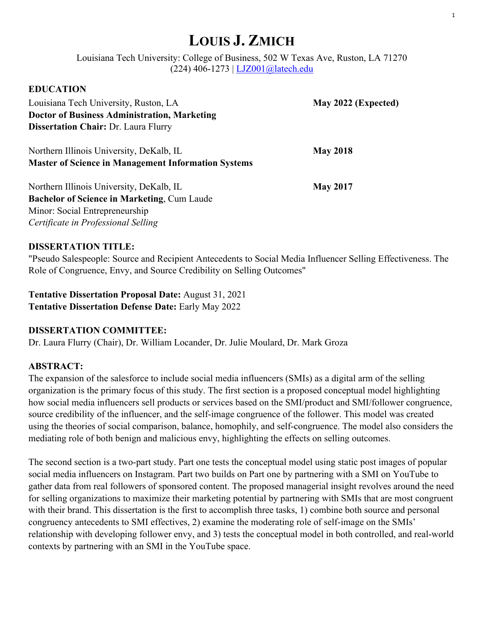# **LOUIS J. ZMICH**

Louisiana Tech University: College of Business, 502 W Texas Ave, Ruston, LA 71270 (224) 406-1273 | LJZ001@latech.edu

| LDUCATION                                                  |                     |
|------------------------------------------------------------|---------------------|
| Louisiana Tech University, Ruston, LA                      | May 2022 (Expected) |
| <b>Doctor of Business Administration, Marketing</b>        |                     |
| <b>Dissertation Chair: Dr. Laura Flurry</b>                |                     |
| Northern Illinois University, DeKalb, IL                   | <b>May 2018</b>     |
| <b>Master of Science in Management Information Systems</b> |                     |
| Northern Illinois University, DeKalb, IL                   | <b>May 2017</b>     |
| <b>Bachelor of Science in Marketing, Cum Laude</b>         |                     |
| Minor: Social Entrepreneurship                             |                     |
| Certificate in Professional Selling                        |                     |

### **DISSERTATION TITLE:**

"Pseudo Salespeople: Source and Recipient Antecedents to Social Media Influencer Selling Effectiveness. The Role of Congruence, Envy, and Source Credibility on Selling Outcomes"

**Tentative Dissertation Proposal Date:** August 31, 2021 **Tentative Dissertation Defense Date:** Early May 2022

### **DISSERTATION COMMITTEE:**

Dr. Laura Flurry (Chair), Dr. William Locander, Dr. Julie Moulard, Dr. Mark Groza

### **ABSTRACT:**

**EDUCATION**

The expansion of the salesforce to include social media influencers (SMIs) as a digital arm of the selling organization is the primary focus of this study. The first section is a proposed conceptual model highlighting how social media influencers sell products or services based on the SMI/product and SMI/follower congruence, source credibility of the influencer, and the self-image congruence of the follower. This model was created using the theories of social comparison, balance, homophily, and self-congruence. The model also considers the mediating role of both benign and malicious envy, highlighting the effects on selling outcomes.

The second section is a two-part study. Part one tests the conceptual model using static post images of popular social media influencers on Instagram. Part two builds on Part one by partnering with a SMI on YouTube to gather data from real followers of sponsored content. The proposed managerial insight revolves around the need for selling organizations to maximize their marketing potential by partnering with SMIs that are most congruent with their brand. This dissertation is the first to accomplish three tasks, 1) combine both source and personal congruency antecedents to SMI effectives, 2) examine the moderating role of self-image on the SMIs' relationship with developing follower envy, and 3) tests the conceptual model in both controlled, and real-world contexts by partnering with an SMI in the YouTube space.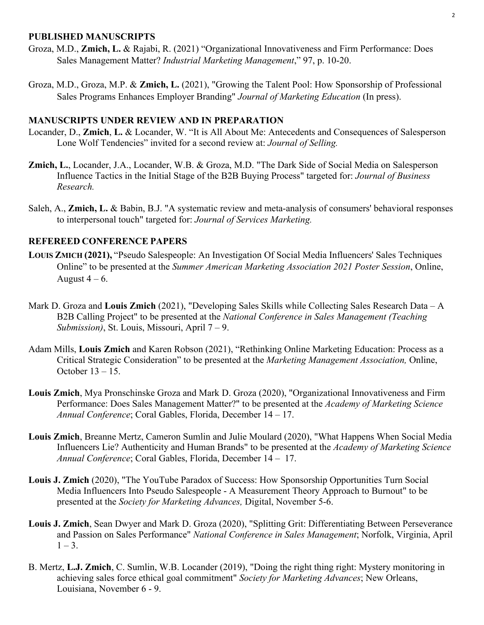#### **PUBLISHED MANUSCRIPTS**

- Groza, M.D., **Zmich, L.** & Rajabi, R. (2021) "Organizational Innovativeness and Firm Performance: Does Sales Management Matter? *Industrial Marketing Management*," 97, p. 10-20.
- Groza, M.D., Groza, M.P. & **Zmich, L.** (2021), "Growing the Talent Pool: How Sponsorship of Professional Sales Programs Enhances Employer Branding" *Journal of Marketing Education* (In press).

#### **MANUSCRIPTS UNDER REVIEW AND IN PREPARATION**

- Locander, D., **Zmich**, **L.** & Locander, W. "It is All About Me: Antecedents and Consequences of Salesperson Lone Wolf Tendencies" invited for a second review at: *Journal of Selling.*
- **Zmich, L.**, Locander, J.A., Locander, W.B. & Groza, M.D. "The Dark Side of Social Media on Salesperson Influence Tactics in the Initial Stage of the B2B Buying Process" targeted for: *Journal of Business Research.*
- Saleh, A., **Zmich, L.** & Babin, B.J. "A systematic review and meta-analysis of consumers' behavioral responses to interpersonal touch" targeted for: *Journal of Services Marketing.*

#### **REFEREED CONFERENCE PAPERS**

- **LOUIS ZMICH (2021),** "Pseudo Salespeople: An Investigation Of Social Media Influencers' Sales Techniques Online" to be presented at the *Summer American Marketing Association 2021 Poster Session*, Online, August  $4-6$ .
- Mark D. Groza and **Louis Zmich** (2021), "Developing Sales Skills while Collecting Sales Research Data A B2B Calling Project" to be presented at the *National Conference in Sales Management (Teaching Submission)*, St. Louis, Missouri, April 7 – 9.
- Adam Mills, **Louis Zmich** and Karen Robson (2021), "Rethinking Online Marketing Education: Process as a Critical Strategic Consideration" to be presented at the *Marketing Management Association,* Online, October 13 – 15.
- **Louis Zmich**, Mya Pronschinske Groza and Mark D. Groza (2020), "Organizational Innovativeness and Firm Performance: Does Sales Management Matter?" to be presented at the *Academy of Marketing Science Annual Conference*; Coral Gables, Florida, December 14 – 17.
- **Louis Zmich**, Breanne Mertz, Cameron Sumlin and Julie Moulard (2020), "What Happens When Social Media Influencers Lie? Authenticity and Human Brands" to be presented at the *Academy of Marketing Science Annual Conference*; Coral Gables, Florida, December 14 – 17.
- **Louis J. Zmich** (2020), "The YouTube Paradox of Success: How Sponsorship Opportunities Turn Social Media Influencers Into Pseudo Salespeople - A Measurement Theory Approach to Burnout" to be presented at the *Society for Marketing Advances,* Digital, November 5-6.
- **Louis J. Zmich**, Sean Dwyer and Mark D. Groza (2020), "Splitting Grit: Differentiating Between Perseverance and Passion on Sales Performance" *National Conference in Sales Management*; Norfolk, Virginia, April  $1 - 3$ .
- B. Mertz, **L.J. Zmich**, C. Sumlin, W.B. Locander (2019), "Doing the right thing right: Mystery monitoring in achieving sales force ethical goal commitment" *Society for Marketing Advances*; New Orleans, Louisiana, November 6 - 9.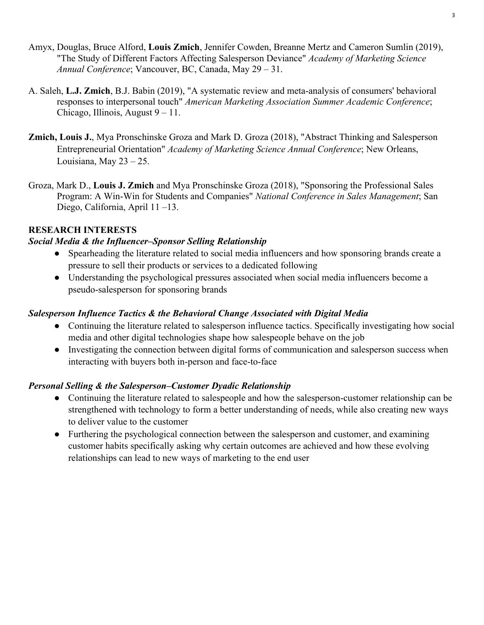- Amyx, Douglas, Bruce Alford, **Louis Zmich**, Jennifer Cowden, Breanne Mertz and Cameron Sumlin (2019), "The Study of Different Factors Affecting Salesperson Deviance" *Academy of Marketing Science Annual Conference*; Vancouver, BC, Canada, May 29 – 31.
- A. Saleh, **L.J. Zmich**, B.J. Babin (2019), "A systematic review and meta-analysis of consumers' behavioral responses to interpersonal touch" *American Marketing Association Summer Academic Conference*; Chicago, Illinois, August 9 – 11.
- **Zmich, Louis J.**, Mya Pronschinske Groza and Mark D. Groza (2018), "Abstract Thinking and Salesperson Entrepreneurial Orientation" *Academy of Marketing Science Annual Conference*; New Orleans, Louisiana, May 23 – 25.
- Groza, Mark D., **Louis J. Zmich** and Mya Pronschinske Groza (2018), "Sponsoring the Professional Sales Program: A Win-Win for Students and Companies" *National Conference in Sales Management*; San Diego, California, April 11 –13.

# **RESEARCH INTERESTS**

### *Social Media & the Influencer–Sponsor Selling Relationship*

- Spearheading the literature related to social media influencers and how sponsoring brands create a pressure to sell their products or services to a dedicated following
- Understanding the psychological pressures associated when social media influencers become a pseudo-salesperson for sponsoring brands

## *Salesperson Influence Tactics & the Behavioral Change Associated with Digital Media*

- Continuing the literature related to salesperson influence tactics. Specifically investigating how social media and other digital technologies shape how salespeople behave on the job
- Investigating the connection between digital forms of communication and salesperson success when interacting with buyers both in-person and face-to-face

### *Personal Selling & the Salesperson–Customer Dyadic Relationship*

- Continuing the literature related to salespeople and how the salesperson-customer relationship can be strengthened with technology to form a better understanding of needs, while also creating new ways to deliver value to the customer
- Furthering the psychological connection between the salesperson and customer, and examining customer habits specifically asking why certain outcomes are achieved and how these evolving relationships can lead to new ways of marketing to the end user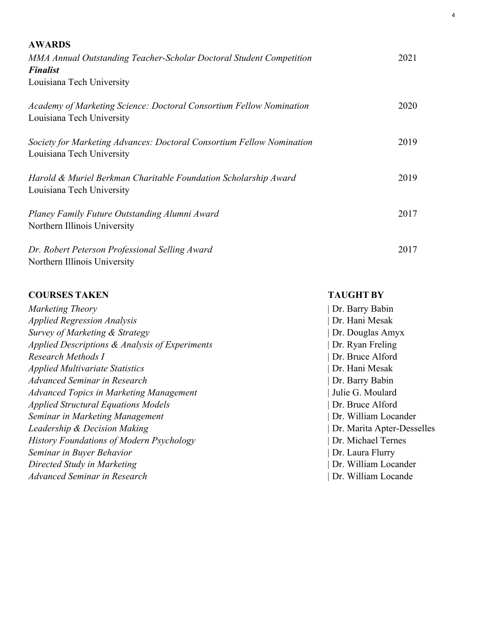| <b>AWARDS</b>                                                                                      |      |
|----------------------------------------------------------------------------------------------------|------|
| MMA Annual Outstanding Teacher-Scholar Doctoral Student Competition<br><b>Finalist</b>             | 2021 |
| Louisiana Tech University                                                                          |      |
| Academy of Marketing Science: Doctoral Consortium Fellow Nomination<br>Louisiana Tech University   | 2020 |
| Society for Marketing Advances: Doctoral Consortium Fellow Nomination<br>Louisiana Tech University | 2019 |
| Harold & Muriel Berkman Charitable Foundation Scholarship Award<br>Louisiana Tech University       | 2019 |
| Planey Family Future Outstanding Alumni Award<br>Northern Illinois University                      | 2017 |
| Dr. Robert Peterson Professional Selling Award<br>Northern Illinois University                     | 2017 |

4

| <b>COURSES TAKEN</b>                            | <b>TAUGHT BY</b>           |
|-------------------------------------------------|----------------------------|
| Marketing Theory                                | Dr. Barry Babin            |
| <b>Applied Regression Analysis</b>              | Dr. Hani Mesak             |
| Survey of Marketing & Strategy                  | Dr. Douglas Amyx           |
| Applied Descriptions & Analysis of Experiments  | Dr. Ryan Freling           |
| Research Methods I                              | Dr. Bruce Alford           |
| <b>Applied Multivariate Statistics</b>          | Dr. Hani Mesak             |
| Advanced Seminar in Research                    | Dr. Barry Babin            |
| <b>Advanced Topics in Marketing Management</b>  | Julie G. Moulard           |
| <b>Applied Structural Equations Models</b>      | Dr. Bruce Alford           |
| Seminar in Marketing Management                 | Dr. William Locander       |
| Leadership & Decision Making                    | Dr. Marita Apter-Desselles |
| <b>History Foundations of Modern Psychology</b> | Dr. Michael Ternes         |
| Seminar in Buyer Behavior                       | Dr. Laura Flurry           |
| Directed Study in Marketing                     | Dr. William Locander       |
| Advanced Seminar in Research                    | Dr. William Locande        |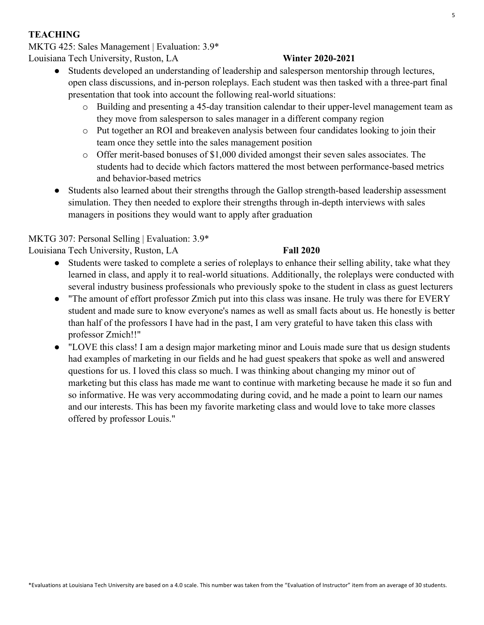## **TEACHING**

MKTG 425: Sales Management | Evaluation: 3.9\*

Louisiana Tech University, Ruston, LA **Winter 2020-2021**

- Students developed an understanding of leadership and salesperson mentorship through lectures, open class discussions, and in-person roleplays. Each student was then tasked with a three-part final presentation that took into account the following real-world situations:
	- o Building and presenting a 45-day transition calendar to their upper-level management team as they move from salesperson to sales manager in a different company region
	- o Put together an ROI and breakeven analysis between four candidates looking to join their team once they settle into the sales management position
	- o Offer merit-based bonuses of \$1,000 divided amongst their seven sales associates. The students had to decide which factors mattered the most between performance-based metrics and behavior-based metrics
- Students also learned about their strengths through the Gallop strength-based leadership assessment simulation. They then needed to explore their strengths through in-depth interviews with sales managers in positions they would want to apply after graduation

# MKTG 307: Personal Selling | Evaluation: 3.9\*

Louisiana Tech University, Ruston, LA **Fall 2020**

- Students were tasked to complete a series of roleplays to enhance their selling ability, take what they learned in class, and apply it to real-world situations. Additionally, the roleplays were conducted with several industry business professionals who previously spoke to the student in class as guest lecturers
- "The amount of effort professor Zmich put into this class was insane. He truly was there for EVERY student and made sure to know everyone's names as well as small facts about us. He honestly is better than half of the professors I have had in the past, I am very grateful to have taken this class with professor Zmich!!"
- "LOVE this class! I am a design major marketing minor and Louis made sure that us design students had examples of marketing in our fields and he had guest speakers that spoke as well and answered questions for us. I loved this class so much. I was thinking about changing my minor out of marketing but this class has made me want to continue with marketing because he made it so fun and so informative. He was very accommodating during covid, and he made a point to learn our names and our interests. This has been my favorite marketing class and would love to take more classes offered by professor Louis."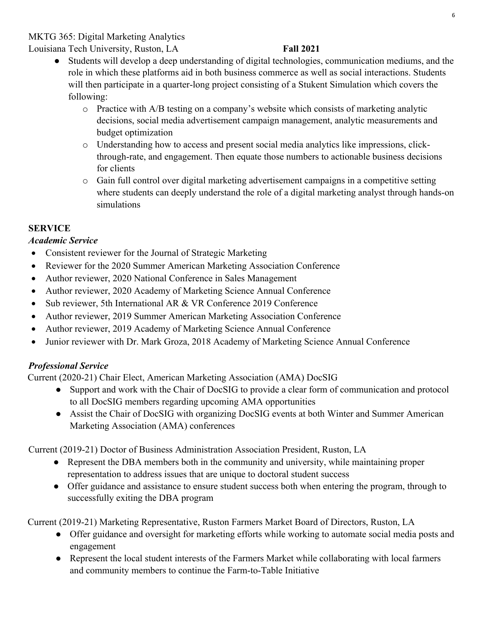### MKTG 365: Digital Marketing Analytics

Louisiana Tech University, Ruston, LA **Fall 2021**

- Students will develop a deep understanding of digital technologies, communication mediums, and the role in which these platforms aid in both business commerce as well as social interactions. Students will then participate in a quarter-long project consisting of a Stukent Simulation which covers the following:
	- o Practice with A/B testing on a company's website which consists of marketing analytic decisions, social media advertisement campaign management, analytic measurements and budget optimization
	- o Understanding how to access and present social media analytics like impressions, clickthrough-rate, and engagement. Then equate those numbers to actionable business decisions for clients
	- o Gain full control over digital marketing advertisement campaigns in a competitive setting where students can deeply understand the role of a digital marketing analyst through hands-on simulations

### **SERVICE**

### *Academic Service*

- Consistent reviewer for the Journal of Strategic Marketing
- Reviewer for the 2020 Summer American Marketing Association Conference
- Author reviewer, 2020 National Conference in Sales Management
- Author reviewer, 2020 Academy of Marketing Science Annual Conference
- Sub reviewer, 5th International AR & VR Conference 2019 Conference
- Author reviewer, 2019 Summer American Marketing Association Conference
- Author reviewer, 2019 Academy of Marketing Science Annual Conference
- Junior reviewer with Dr. Mark Groza, 2018 Academy of Marketing Science Annual Conference

### *Professional Service*

Current (2020-21) Chair Elect, American Marketing Association (AMA) DocSIG

- Support and work with the Chair of DocSIG to provide a clear form of communication and protocol to all DocSIG members regarding upcoming AMA opportunities
- Assist the Chair of DocSIG with organizing DocSIG events at both Winter and Summer American Marketing Association (AMA) conferences

Current (2019-21) Doctor of Business Administration Association President, Ruston, LA

- Represent the DBA members both in the community and university, while maintaining proper representation to address issues that are unique to doctoral student success
- Offer guidance and assistance to ensure student success both when entering the program, through to successfully exiting the DBA program

Current (2019-21) Marketing Representative, Ruston Farmers Market Board of Directors, Ruston, LA

- Offer guidance and oversight for marketing efforts while working to automate social media posts and engagement
- Represent the local student interests of the Farmers Market while collaborating with local farmers and community members to continue the Farm-to-Table Initiative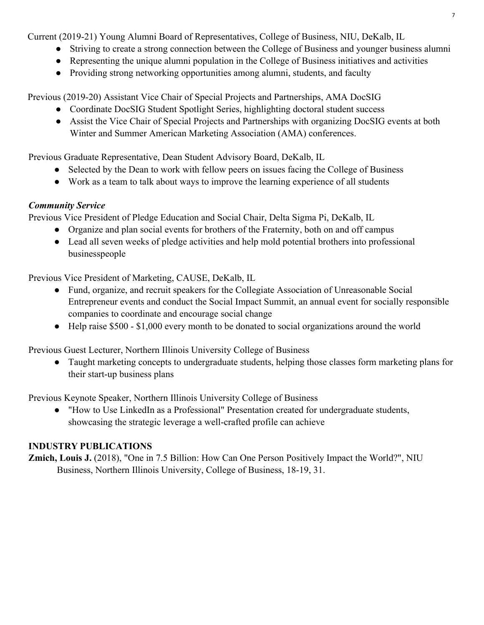Current (2019-21) Young Alumni Board of Representatives, College of Business, NIU, DeKalb, IL

- Striving to create a strong connection between the College of Business and younger business alumni
- Representing the unique alumni population in the College of Business initiatives and activities
- Providing strong networking opportunities among alumni, students, and faculty

Previous (2019-20) Assistant Vice Chair of Special Projects and Partnerships, AMA DocSIG

- Coordinate DocSIG Student Spotlight Series, highlighting doctoral student success
- Assist the Vice Chair of Special Projects and Partnerships with organizing DocSIG events at both Winter and Summer American Marketing Association (AMA) conferences.

Previous Graduate Representative, Dean Student Advisory Board, DeKalb, IL

- Selected by the Dean to work with fellow peers on issues facing the College of Business
- Work as a team to talk about ways to improve the learning experience of all students

### *Community Service*

Previous Vice President of Pledge Education and Social Chair, Delta Sigma Pi, DeKalb, IL

- Organize and plan social events for brothers of the Fraternity, both on and off campus
- Lead all seven weeks of pledge activities and help mold potential brothers into professional businesspeople

Previous Vice President of Marketing, CAUSE, DeKalb, IL

- Fund, organize, and recruit speakers for the Collegiate Association of Unreasonable Social Entrepreneur events and conduct the Social Impact Summit, an annual event for socially responsible companies to coordinate and encourage social change
- Help raise \$500 \$1,000 every month to be donated to social organizations around the world

Previous Guest Lecturer, Northern Illinois University College of Business

● Taught marketing concepts to undergraduate students, helping those classes form marketing plans for their start-up business plans

Previous Keynote Speaker, Northern Illinois University College of Business

● "How to Use LinkedIn as a Professional" Presentation created for undergraduate students, showcasing the strategic leverage a well-crafted profile can achieve

# **INDUSTRY PUBLICATIONS**

**Zmich, Louis J.** (2018), "One in 7.5 Billion: How Can One Person Positively Impact the World?", NIU Business, Northern Illinois University, College of Business, 18-19, 31.